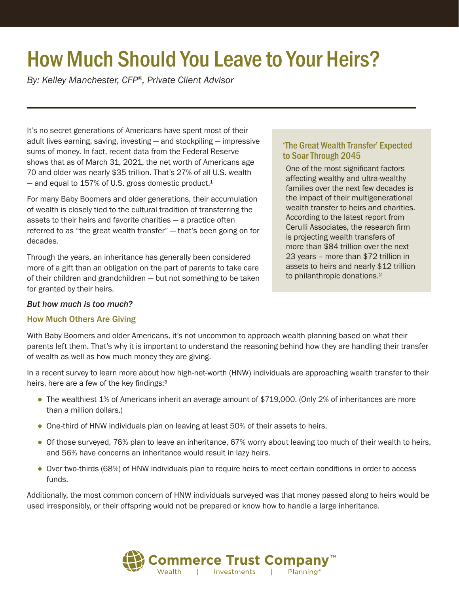# How Much Should You Leave to Your Heirs?

*By: Kelley Manchester, CFP®, Private Client Advisor*

It's no secret generations of Americans have spent most of their adult lives earning, saving, investing — and stockpiling — impressive sums of money. In fact, recent data from the Federal Reserve shows that as of March 31, 2021, the net worth of Americans age 70 and older was nearly \$35 trillion. That's 27% of all U.S. wealth  $-$  and equal to 157% of U.S. gross domestic product.<sup>1</sup>

For many Baby Boomers and older generations, their accumulation of wealth is closely tied to the cultural tradition of transferring the assets to their heirs and favorite charities — a practice often referred to as "the great wealth transfer" — that's been going on for decades.

Through the years, an inheritance has generally been considered more of a gift than an obligation on the part of parents to take care of their children and grandchildren — but not something to be taken for granted by their heirs.

#### *But how much is too much?*

#### How Much Others Are Giving

## 'The Great Wealth Transfer' Expected to Soar Through 2045

One of the most significant factors affecting wealthy and ultra-wealthy families over the next few decades is the impact of their multigenerational wealth transfer to heirs and charities. According to the latest report from Cerulli Associates, the research firm is projecting wealth transfers of more than \$84 trillion over the next 23 years – more than \$72 trillion in assets to heirs and nearly \$12 trillion to philanthropic donations.<sup>2</sup>

With Baby Boomers and older Americans, it's not uncommon to approach wealth planning based on what their parents left them. That's why it is important to understand the reasoning behind how they are handling their transfer of wealth as well as how much money they are giving.

In a recent survey to learn more about how high-net-worth (HNW) individuals are approaching wealth transfer to their heirs, here are a few of the key findings:<sup>3</sup>

- The wealthiest 1% of Americans inherit an average amount of \$719,000. (Only 2% of inheritances are more than a million dollars.)
- One-third of HNW individuals plan on leaving at least 50% of their assets to heirs.
- Of those surveyed, 76% plan to leave an inheritance, 67% worry about leaving too much of their wealth to heirs, and 56% have concerns an inheritance would result in lazy heirs.
- Over two-thirds (68%) of HNW individuals plan to require heirs to meet certain conditions in order to access funds.

Additionally, the most common concern of HNW individuals surveyed was that money passed along to heirs would be used irresponsibly, or their offspring would not be prepared or know how to handle a large inheritance.

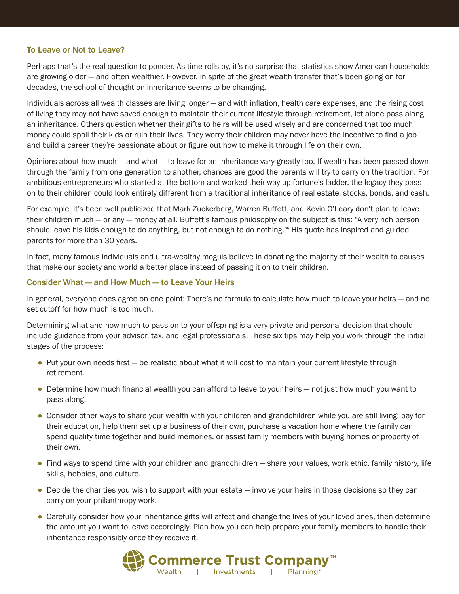### To Leave or Not to Leave?

Perhaps that's the real question to ponder. As time rolls by, it's no surprise that statistics show American households are growing older — and often wealthier. However, in spite of the great wealth transfer that's been going on for decades, the school of thought on inheritance seems to be changing.

Individuals across all wealth classes are living longer — and with inflation, health care expenses, and the rising cost of living they may not have saved enough to maintain their current lifestyle through retirement, let alone pass along an inheritance. Others question whether their gifts to heirs will be used wisely and are concerned that too much money could spoil their kids or ruin their lives. They worry their children may never have the incentive to find a job and build a career they're passionate about or figure out how to make it through life on their own.

Opinions about how much — and what — to leave for an inheritance vary greatly too. If wealth has been passed down through the family from one generation to another, chances are good the parents will try to carry on the tradition. For ambitious entrepreneurs who started at the bottom and worked their way up fortune's ladder, the legacy they pass on to their children could look entirely different from a traditional inheritance of real estate, stocks, bonds, and cash.

For example, it's been well publicized that Mark Zuckerberg, Warren Buffett, and Kevin O'Leary don't plan to leave their children much — or any — money at all. Buffett's famous philosophy on the subject is this: "A very rich person should leave his kids enough to do anything, but not enough to do nothing."<sup>4</sup> His quote has inspired and guided parents for more than 30 years.

In fact, many famous individuals and ultra-wealthy moguls believe in donating the majority of their wealth to causes that make our society and world a better place instead of passing it on to their children.

#### Consider What — and How Much — to Leave Your Heirs

In general, everyone does agree on one point: There's no formula to calculate how much to leave your heirs — and no set cutoff for how much is too much.

Determining what and how much to pass on to your offspring is a very private and personal decision that should include guidance from your advisor, tax, and legal professionals. These six tips may help you work through the initial stages of the process:

- Put your own needs first be realistic about what it will cost to maintain your current lifestyle through retirement.
- Determine how much financial wealth you can afford to leave to your heirs not just how much you want to pass along.
- Consider other ways to share your wealth with your children and grandchildren while you are still living: pay for their education, help them set up a business of their own, purchase a vacation home where the family can spend quality time together and build memories, or assist family members with buying homes or property of their own.
- Find ways to spend time with your children and grandchildren share your values, work ethic, family history, life skills, hobbies, and culture.
- Decide the charities you wish to support with your estate involve your heirs in those decisions so they can carry on your philanthropy work.
- Carefully consider how your inheritance gifts will affect and change the lives of your loved ones, then determine the amount you want to leave accordingly. Plan how you can help prepare your family members to handle their inheritance responsibly once they receive it.

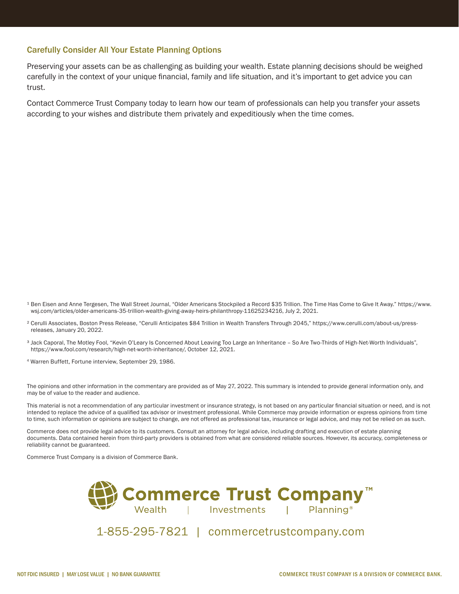#### Carefully Consider All Your Estate Planning Options

Preserving your assets can be as challenging as building your wealth. Estate planning decisions should be weighed carefully in the context of your unique financial, family and life situation, and it's important to get advice you can trust.

Contact Commerce Trust Company today to learn how our team of professionals can help you transfer your assets according to your wishes and distribute them privately and expeditiously when the time comes.

- <sup>1</sup> Ben Eisen and Anne Tergesen, The Wall Street Journal, "Older Americans Stockpiled a Record \$35 Trillion. The Time Has Come to Give It Away." https://www. wsj.com/articles/older-americans-35-trillion-wealth-giving-away-heirs-philanthropy-11625234216, July 2, 2021.
- ² Cerulli Associates, Boston Press Release, "Cerulli Anticipates \$84 Trillion in Wealth Transfers Through 2045," https://www.cerulli.com/about-us/pressreleases, January 20, 2022.
- <sup>3</sup> Jack Caporal, The Motley Fool, "Kevin O'Leary Is Concerned About Leaving Too Large an Inheritance So Are Two-Thirds of High-Net-Worth Individuals", https://www.fool.com/research/high-net-worth-inheritance/, October 12, 2021.
- 4 Warren Buffett, Fortune interview, September 29, 1986.

The opinions and other information in the commentary are provided as of May 27, 2022. This summary is intended to provide general information only, and may be of value to the reader and audience.

This material is not a recommendation of any particular investment or insurance strategy, is not based on any particular financial situation or need, and is not intended to replace the advice of a qualified tax advisor or investment professional. While Commerce may provide information or express opinions from time to time, such information or opinions are subject to change, are not offered as professional tax, insurance or legal advice, and may not be relied on as such.

Commerce does not provide legal advice to its customers. Consult an attorney for legal advice, including drafting and execution of estate planning documents. Data contained herein from third-party providers is obtained from what are considered reliable sources. However, its accuracy, completeness or reliability cannot be guaranteed.

Commerce Trust Company is a division of Commerce Bank.



1-855-295-7821 | commercetrustcompany.com